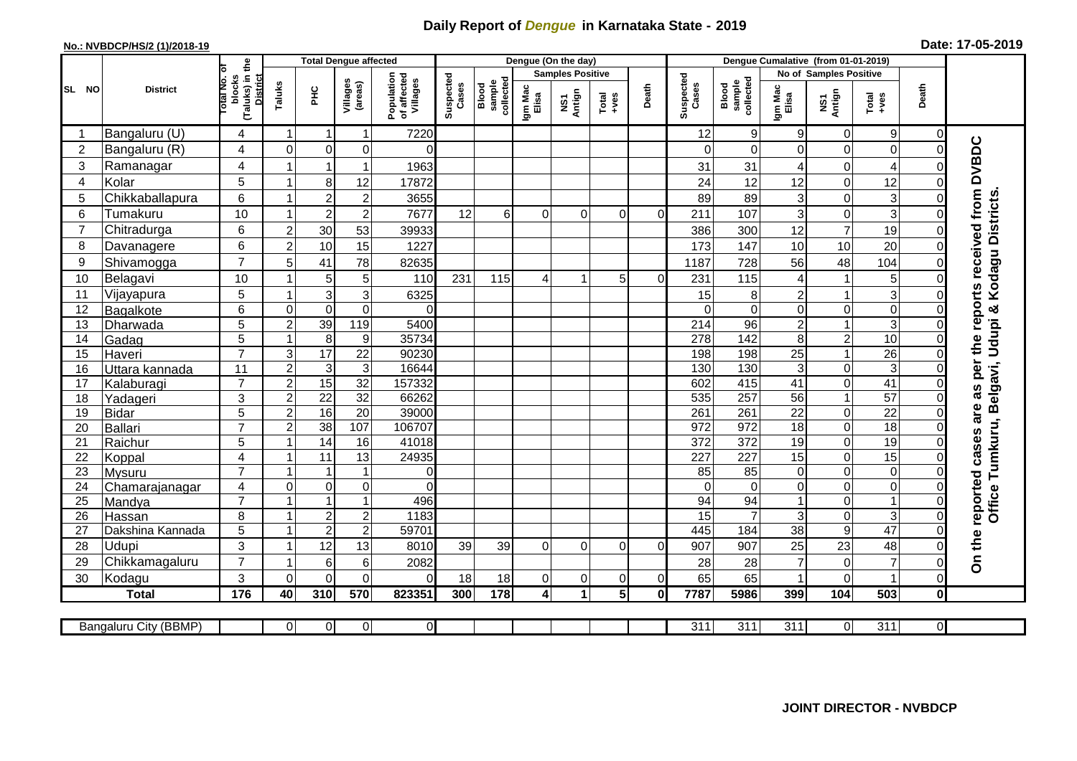## **Daily Report of** *Dengue* **in Karnataka State - 2019**

## **No.: NVBDCP/HS/2 (1)/2018-19 Date: 17-05-2019**

|                | <b>District</b>       |                                                       | <b>Total Dengue affected</b> |                           |                         |                                       |                    |                              |                         | Dengue (On the day)  |               |              |                    |                              |                  |                  |                  |                         |                                  |
|----------------|-----------------------|-------------------------------------------------------|------------------------------|---------------------------|-------------------------|---------------------------------------|--------------------|------------------------------|-------------------------|----------------------|---------------|--------------|--------------------|------------------------------|------------------|------------------|------------------|-------------------------|----------------------------------|
| SL NO          |                       |                                                       |                              |                           |                         |                                       |                    |                              | <b>Samples Positive</b> |                      |               |              |                    | No of Samples Positive       |                  |                  |                  |                         |                                  |
|                |                       | (Taluks) in the<br>District<br>lotal No. ol<br>blocks | Taluks                       | Ξ                         | Villages<br>(areas)     | Population<br>of affected<br>Villages | Suspected<br>Cases | Blood<br>sample<br>collected | Igm Mac<br>Elisa        | NS1<br>Antign        | Total<br>+ves | Death        | Suspected<br>Cases | collected<br>sample<br>Blood | Igm Mac<br>Elisa | NS1<br>Antign    | Total<br>+ves    | Death                   |                                  |
|                | Bangaluru (U)         | $\overline{4}$                                        | 1                            | $\mathbf 1$               | $\mathbf{1}$            | 7220                                  |                    |                              |                         |                      |               |              | 12                 | 9                            | 9                | $\mathbf 0$      | 9                | $\overline{0}$          |                                  |
| $\overline{2}$ | Bangaluru (R)         | $\overline{4}$                                        | $\mathbf 0$                  | $\mathbf 0$               | 0                       | $\Omega$                              |                    |                              |                         |                      |               |              | $\Omega$           | $\Omega$                     | $\Omega$         | $\mathbf 0$      | 0                | $\mathbf 0$             | the reports received from DVBDC  |
| 3              | Ramanagar             | $\overline{4}$                                        |                              | $\overline{1}$            | -1                      | 1963                                  |                    |                              |                         |                      |               |              | 31                 | 31                           | 4                | 0                | 4                | $\Omega$                |                                  |
| 4              | Kolar                 | 5                                                     | $\overline{1}$               | 8                         | 12                      | 17872                                 |                    |                              |                         |                      |               |              | 24                 | 12                           | 12               | $\mathbf 0$      | 12               | $\overline{0}$          |                                  |
| 5              | Chikkaballapura       | $6\phantom{1}$                                        | 1                            | $\overline{c}$            | $\overline{\mathbf{c}}$ | 3655                                  |                    |                              |                         |                      |               |              | 89                 | 89                           | 3                | $\mathbf 0$      | 3                | $\mathbf 0$             |                                  |
| 6              | Tumakuru              | 10                                                    | $\mathbf{1}$                 | $\overline{c}$            | $\mathbf 2$             | 7677                                  | 12                 | 6                            | $\Omega$                | $\Omega$             | $\Omega$      | $\Omega$     | 211                | 107                          | 3                | $\mathbf 0$      | 3                | $\Omega$                |                                  |
| 7              | Chitradurga           | 6                                                     | $\overline{c}$               | 30                        | 53                      | 39933                                 |                    |                              |                         |                      |               |              | 386                | 300                          | 12               | $\overline{7}$   | 19               | $\overline{0}$          |                                  |
| 8              | Davanagere            | 6                                                     | $\overline{2}$               | 10                        | 15                      | 1227                                  |                    |                              |                         |                      |               |              | 173                | 147                          | 10               | 10               | 20               | $\Omega$                |                                  |
| 9              | Shivamogga            | $\overline{7}$                                        | 5                            | 41                        | 78                      | 82635                                 |                    |                              |                         |                      |               |              | 1187               | 728                          | 56               | 48               | 104              | $\Omega$                | & Kodagu Districts               |
| 10             | Belagavi              | 10                                                    | 1                            | 5                         | 5                       | 110                                   | 231                | 115                          | 4                       | 1                    | 5             | $\Omega$     | 231                | 115                          | 4                | $\mathbf{1}$     | 5                | $\Omega$                |                                  |
| 11             | Vijayapura            | 5                                                     | 1                            | $\overline{3}$            | 3                       | 6325                                  |                    |                              |                         |                      |               |              | 15                 | 8                            | $\overline{2}$   | $\mathbf{1}$     | $\overline{3}$   | 0                       |                                  |
| 12             | Bagalkote             | 6                                                     | $\mathbf 0$                  | $\overline{0}$            | $\mathbf 0$             | $\Omega$                              |                    |                              |                         |                      |               |              | $\Omega$           | $\Omega$                     | $\Omega$         | $\pmb{0}$        | $\overline{0}$   | $\Omega$                |                                  |
| 13             | Dharwada              | $\overline{5}$                                        | $\overline{2}$               | 39                        | 119                     | 5400                                  |                    |                              |                         |                      |               |              | $\overline{214}$   | $\overline{96}$              | $\overline{c}$   | $\mathbf{1}$     | $\overline{3}$   | 0                       | Belgavi, Udupi                   |
| 14             | Gadag                 | 5                                                     | $\mathbf{1}$                 | $\overline{8}$            | 9                       | 35734                                 |                    |                              |                         |                      |               |              | 278                | 142                          | 8                | $\sqrt{2}$       | 10               | 0                       |                                  |
| 15             | Haveri                | $\overline{7}$                                        | 3                            | 17                        | $\overline{22}$         | 90230                                 |                    |                              |                         |                      |               |              | 198                | 198                          | 25               | $\mathbf{1}$     | $\overline{26}$  | $\overline{0}$          |                                  |
| 16             | Uttara kannada        | 11                                                    | $\overline{a}$               | $\ensuremath{\mathsf{3}}$ | $\overline{3}$          | 16644                                 |                    |                              |                         |                      |               |              | 130                | 130                          | 3                | $\pmb{0}$        | 3                | 0                       |                                  |
| 17             | Kalaburagi            | $\overline{7}$                                        | $\overline{2}$               | 15                        | $\overline{32}$         | 157332                                |                    |                              |                         |                      |               |              | 602                | 415                          | $\overline{41}$  | $\mathbf 0$      | 41               | $\overline{0}$          |                                  |
| 18             | Yadageri              | 3                                                     | $\overline{c}$               | $\overline{22}$           | 32                      | 66262                                 |                    |                              |                         |                      |               |              | 535                | 257                          | 56               | $\mathbf{1}$     | $\overline{57}$  | 0                       |                                  |
| 19             | <b>Bidar</b>          | 5                                                     | $\overline{a}$               | 16                        | $\overline{20}$         | 39000                                 |                    |                              |                         |                      |               |              | 261                | 261                          | $\overline{22}$  | $\mathbf 0$      | $\overline{22}$  | $\overline{0}$          |                                  |
| 20             | Ballari               | $\overline{7}$                                        | $\overline{2}$               | 38                        | 107                     | 106707                                |                    |                              |                         |                      |               |              | 972                | 972                          | $\overline{18}$  | $\boldsymbol{0}$ | 18               | $\mathbf 0$             |                                  |
| 21             | Raichur               | 5                                                     | -1                           | $\overline{14}$           | 16                      | 41018                                 |                    |                              |                         |                      |               |              | 372                | $\overline{372}$             | 19               | $\pmb{0}$        | 19               | 0                       | Tumkuru,                         |
| 22             | Koppal                | 4                                                     | 1                            | $\overline{11}$           | 13                      | 24935                                 |                    |                              |                         |                      |               |              | 227                | 227                          | $\overline{15}$  | $\mathbf 0$      | 15               | $\overline{0}$          |                                  |
| 23             | <b>Mysuru</b>         | $\overline{7}$                                        | 1                            | $\mathbf{1}$              | $\mathbf{1}$            | $\overline{0}$                        |                    |                              |                         |                      |               |              | 85                 | 85                           | $\Omega$         | $\mathbf 0$      | 0                | 0                       |                                  |
| 24             | Chamarajanagar        | 4<br>$\overline{7}$                                   | $\overline{0}$               | $\pmb{0}$                 | $\mathbf 0$             | $\Omega$                              |                    |                              |                         |                      |               |              | $\Omega$           | $\Omega$                     | $\Omega$         | $\mathbf 0$      | 0                | $\mathbf 0$             |                                  |
| 25             | Mandya                |                                                       | 1                            | $\mathbf{1}$              | $\mathbf{1}$            | 496                                   |                    |                              |                         |                      |               |              | 94                 | 94                           |                  | $\mathbf 0$      | 1                | $\mathbf 0$             | Office                           |
| 26             | Hassan                | 8                                                     | 1                            | $\boldsymbol{2}$          | $\mathbf 2$             | 1183                                  |                    |                              |                         |                      |               |              | 15                 |                              | 3                | $\mathbf 0$      | 3                | $\mathsf{O}\xspace$     |                                  |
| 27             | Dakshina Kannada      | 5                                                     | $\mathbf{1}$                 | $\overline{2}$            | $\overline{2}$          | 59701                                 |                    |                              |                         |                      |               |              | 445                | 184                          | $\overline{38}$  | $\overline{9}$   | 47               | $\overline{\mathsf{o}}$ |                                  |
| 28             | Udupi                 | 3<br>$\overline{7}$                                   | 1                            | 12                        | 13                      | 8010                                  | 39                 | 39                           | $\Omega$                | $\Omega$             | $\Omega$      | $\Omega$     | 907                | 907                          | 25               | 23               | 48               | $\Omega$                | On the reported cases are as per |
| 29             | Chikkamagaluru        |                                                       | 1                            | 6                         | 6                       | 2082                                  |                    |                              |                         |                      |               |              | 28                 | 28                           |                  | $\pmb{0}$        | $\overline{7}$   | 0                       |                                  |
| 30             | Kodagu                | 3                                                     | $\Omega$                     | $\Omega$                  | $\Omega$                | $\Omega$                              | 18                 | 18                           | 0                       | $\overline{0}$       | 0             | $\Omega$     | 65                 | 65                           |                  | $\Omega$         |                  | $\mathbf 0$             |                                  |
|                | <b>Total</b>          | 176                                                   | 40                           | 310                       | 570                     | 823351                                | 300                | 178                          | 4                       | $\blacktriangleleft$ | 5             | $\mathbf{0}$ | 7787               | 5986                         | 399              | 104              | 503              | $\mathbf 0$             |                                  |
|                | Bangaluru City (BBMP) |                                                       | $\overline{0}$               | $\overline{0}$            | $\overline{0}$          | $\overline{O}$                        |                    |                              |                         |                      |               |              | 311                | $\overline{311}$             | $\overline{311}$ | $\overline{0}$   | $\overline{311}$ | $\overline{0}$          |                                  |